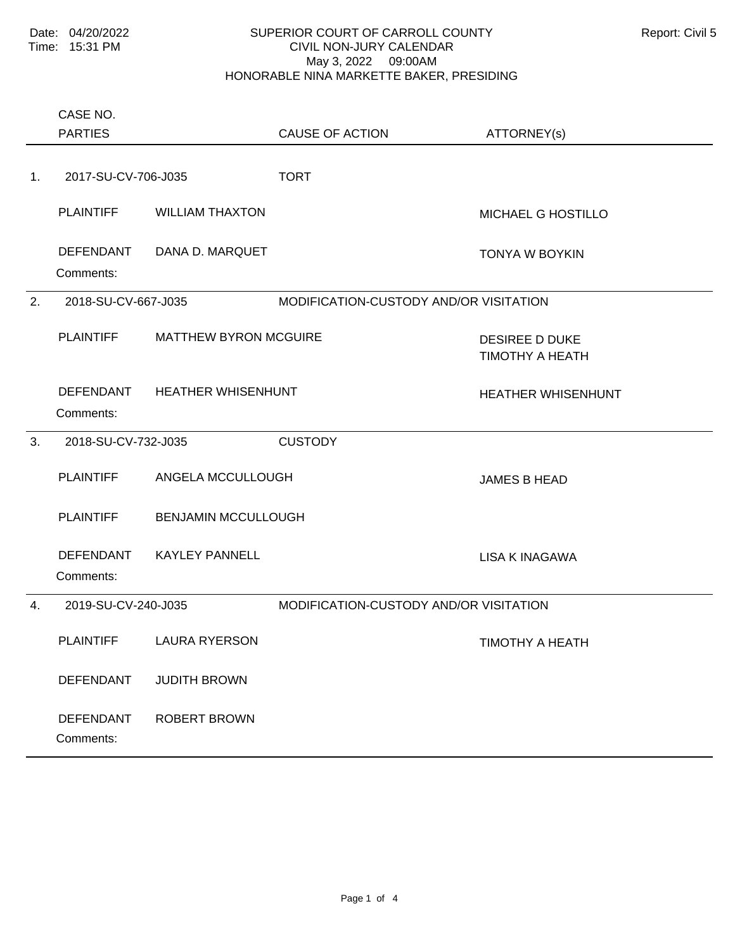|                | CASE NO.<br><b>PARTIES</b>                     |                              | <b>CAUSE OF ACTION</b>                 | ATTORNEY(s)                                     |
|----------------|------------------------------------------------|------------------------------|----------------------------------------|-------------------------------------------------|
| 1 <sub>1</sub> | 2017-SU-CV-706-J035                            |                              | <b>TORT</b>                            |                                                 |
|                | <b>PLAINTIFF</b>                               | <b>WILLIAM THAXTON</b>       |                                        | MICHAEL G HOSTILLO                              |
|                | <b>DEFENDANT</b><br>Comments:                  | DANA D. MARQUET              |                                        | <b>TONYA W BOYKIN</b>                           |
| 2.             | 2018-SU-CV-667-J035                            |                              | MODIFICATION-CUSTODY AND/OR VISITATION |                                                 |
|                | <b>PLAINTIFF</b>                               | <b>MATTHEW BYRON MCGUIRE</b> |                                        | <b>DESIREE D DUKE</b><br><b>TIMOTHY A HEATH</b> |
|                | DEFENDANT<br>Comments:                         | <b>HEATHER WHISENHUNT</b>    |                                        | <b>HEATHER WHISENHUNT</b>                       |
| 3.             | 2018-SU-CV-732-J035                            |                              | <b>CUSTODY</b>                         |                                                 |
|                | <b>PLAINTIFF</b>                               | ANGELA MCCULLOUGH            |                                        | <b>JAMES B HEAD</b>                             |
|                | <b>PLAINTIFF</b><br><b>BENJAMIN MCCULLOUGH</b> |                              |                                        |                                                 |
|                | <b>DEFENDANT</b><br>Comments:                  | <b>KAYLEY PANNELL</b>        |                                        | <b>LISA K INAGAWA</b>                           |
| $\mathbf{4}$ . | 2019-SU-CV-240-J035                            |                              | MODIFICATION-CUSTODY AND/OR VISITATION |                                                 |
|                | <b>PLAINTIFF</b>                               | <b>LAURA RYERSON</b>         |                                        | TIMOTHY A HEATH                                 |
|                | <b>DEFENDANT</b>                               | <b>JUDITH BROWN</b>          |                                        |                                                 |
|                | DEFENDANT<br>Comments:                         | <b>ROBERT BROWN</b>          |                                        |                                                 |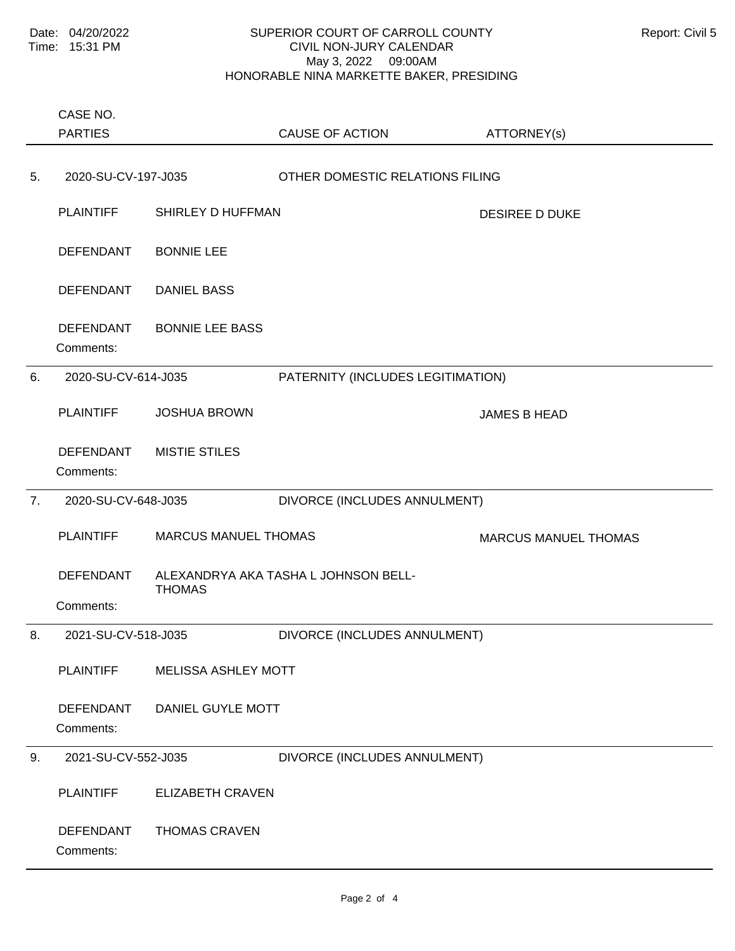Comments: PLAINTIFF SHIRLEY D HUFFMAN DESIREE D DUKE DEFENDANT BONNIE LEE DEFENDANT DANIEL BASS DEFENDANT BONNIE LEE BASS 5. 2020-SU-CV-197-J035 OTHER DOMESTIC RELATIONS FILING Comments: PLAINTIFF JOSHUA BROWN JAMES B HEAD DEFENDANT MISTIE STILES 6. 2020-SU-CV-614-J035 PATERNITY (INCLUDES LEGITIMATION) Comments: PLAINTIFF MARCUS MANUEL THOMAS MARCUS MANUEL THOMAS ALEXANDRYA AKA TASHA L JOHNSON BELL-THOMAS DEFENDANT 7. 2020-SU-CV-648-J035 DIVORCE (INCLUDES ANNULMENT) Comments: PLAINTIFF MELISSA ASHLEY MOTT DEFENDANT DANIEL GUYLE MOTT 8. 2021-SU-CV-518-J035 DIVORCE (INCLUDES ANNULMENT) Comments: PLAINTIFF ELIZABETH CRAVEN DEFENDANT THOMAS CRAVEN 9. 2021-SU-CV-552-J035 DIVORCE (INCLUDES ANNULMENT) PARTIES CASE NO. CAUSE OF ACTION ATTORNEY(s)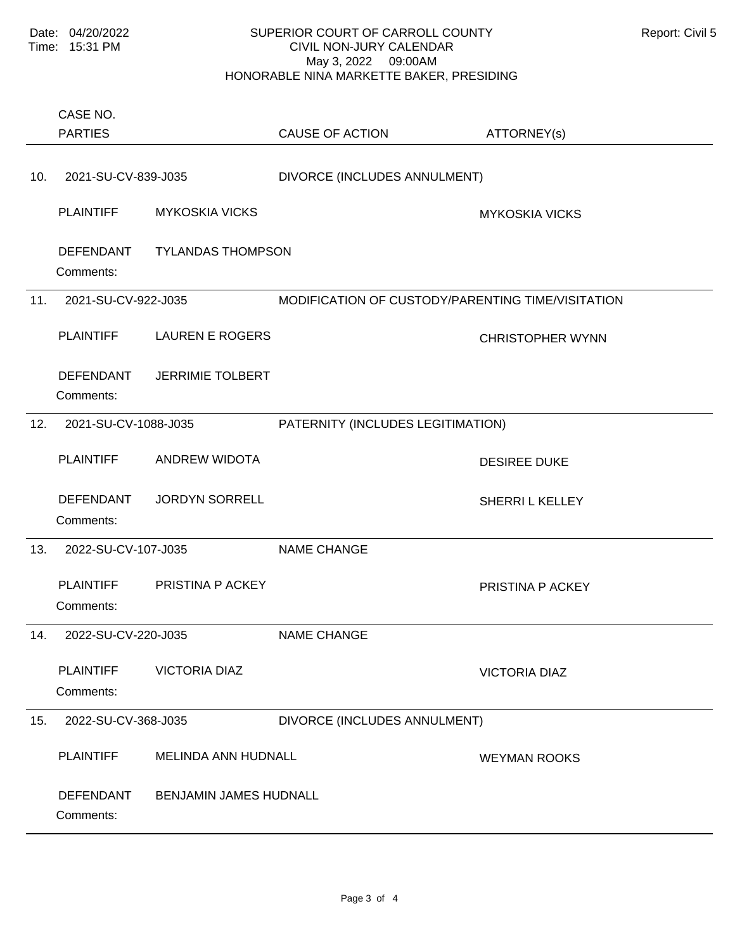Comments: PLAINTIFF MYKOSKIA VICKS NATURAL MYKOSKIA VICKS DEFENDANT TYLANDAS THOMPSON 10. 2021-SU-CV-839-J035 DIVORCE (INCLUDES ANNULMENT) Comments: PLAINTIFF LAUREN E ROGERS CHRISTOPHER WYNN DEFENDANT JERRIMIE TOLBERT 11. 2021-SU-CV-922-J035 MODIFICATION OF CUSTODY/PARENTING TIME/VISITATION Comments: PLAINTIFF ANDREW WIDOTA DESIREE DUKE DEFENDANT JORDYN SORRELL SHERRI L KELLEY 12. 2021-SU-CV-1088-J035 PATERNITY (INCLUDES LEGITIMATION) Comments: PLAINTIFF PRISTINA P ACKEY PLAINTIFF PRISTINA P ACKEY 13. 2022-SU-CV-107-J035 NAME CHANGE Comments: PLAINTIFF VICTORIA DIAZ VICTORIA DIAZ 14. 2022-SU-CV-220-J035 NAME CHANGE Comments: PLAINTIFF MELINDA ANN HUDNALL WEYMAN ROOKS DEFENDANT BENJAMIN JAMES HUDNALL 15. 2022-SU-CV-368-J035 DIVORCE (INCLUDES ANNULMENT) PARTIES CASE NO. CAUSE OF ACTION ATTORNEY(s)